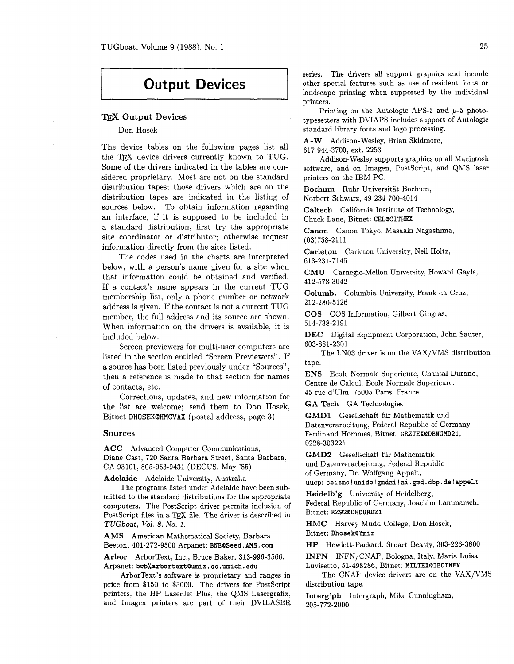## **Output Devices**

### TEX Output Devices

#### Don Hosek

The device tables on the following pages list all the TEX device drivers currently known to TUG. Some of the drivers indicated in the tables are considered proprietary. Most are not on the standard distribution tapes; those drivers which are on the distribution tapes are indicated in the listing of sources below. To obtain information regarding an interface, if it is supposed to be included in a standard distribution, first try the appropriate site coordinator or distributor; otherwise request information directly from the sites listed.

The codes used in the charts are interpreted below, with a person's name given for a site when that information could be obtained and verified. If a contact's name appears in the current TUG membership list, only a phone number or network address is given. If the contact is not a current TUG member, the full address and its source are shown. When information on the drivers is available, it is included below.

Screen previewers for multi-user computers are listed in the section entitled "Screen Previewers". If a source has been listed previously under "Sources", then a reference is made to that section for names of contacts, etc.

Corrections, updates, and new information for the list are welcome; send them to Don Hosek, Bitnet **DHOSEKQHMCVAX** (postal address, page **3).** 

#### **Sources**

**ACC** Advanced Computer Communications, Diane Cast, 720 Santa Barbara Street, Santa Barbara, CA 93101, 805-963-9431 (DECUS, May '85)

**Adelaide** Adelaide University, Australia

The programs listed under Adelaide have been submitted to the standard distributions for the appropriate computers. The PostScript driver permits inclusion of PostScript files in a TEX file. The driver is described in TUGboat, Vol. 8, No. 1.

**AMS** American Mathematical Society, Barbara Beeton, 401-272-9500 Arpanet: BNB@Seed.AMS.com

**Arbor** ArborText, Inc., Bruce Baker, 313-996-3566, Arpanet: **bvb%arbortextc0umix.cc.umich.edu** 

ArborText's software is proprietary and ranges in price from \$150 to \$3000. The drivers for PostScript printers, the HP LaserJet Plus, the QMS Lasergrafix, and Imagen printers are part of their DVILASER series. The drivers all support graphics and include other special features such as use of resident fonts or landscape printing when supported by the individual printers.

Printing on the Autologic APS-5 and **p-5** phototypesetters with DVIAPS includes support of Autologic standard library fonts and logo processing.

A-W Addison-Wesley, Brian Skidmore,

617-944-3700, ext. 2253

Addison-Wesley supports graphics on all Macintosh software, and on Imagen, PostScript, and QMS laser printers on the IBM PC.

**Bochum** Ruhr Universitat Bochum, Norbert Schwarz, 49 234 700-4014

**Caltech** California Institute of Technology, Chuck Lane, Bitnet: CELOCITHEX

**Canon** Canon Tokyo, Masaaki Nagashima, (03)758-2111

**Carleton** Carleton University, Neil Holtz, 613-231-7145

**CMU** Carnegie-Mellon University, Howard Gayle, 412-578-3042

**Columb.** Columbia University, Frank da Cruz, 212-280-5126

**COS** COS Information, Gilbert Gingras, 514-738-2191

**DEC** Digital Equipment Corporation, John Sauter, 603-881-2301

The LN03 driver is on the VAX/VMS distribution tape.

**ENS** Ecole Normale Superieure, Chantal Durand, Centre de Calcul, Ecole Normale Superieure, 45 rue d'Ulm, 75005 Paris, France

**GA Tech** GA Technologies

**GMDl** Gesellschaft **fiir** Mathematik und Datenverarbeitung, Federal Republic of Germany, Ferdinand Hommes, Bitnet: GRZTEXODBNGMD21, 0228-303221

**GMD2** Gesellschaft fiir Mathematik und Datenverarbeitung, Federal Republic of Germany, Dr. Wolfgang Appelt, uucp: **seismo!unido!gmdzi!zi.gmd.dbp.de!appelt** 

**Heidelb'g** University of Heidelberg, Federal Republic of Germany, Joachim Lammarsch,

Bit net: RZ92c0DHDURDZ1

**HMC** Harvey Mudd College, Don Hosek, Bitnet: Dhosekc0Ymir

**HP** Hewlett-Packard, Stuart Beatty, 303-226-3800

**INFN** INFN/CNAF, Bologna, Italy, Maria Luisa Luvisetto, 51-498286, Bitnet: MILTEX@IBOINFN

The CNAF device drivers are on the VAX/VMS distribution tape.

**Interg'ph** Intergraph, Mike Cunningham, 205-772-2000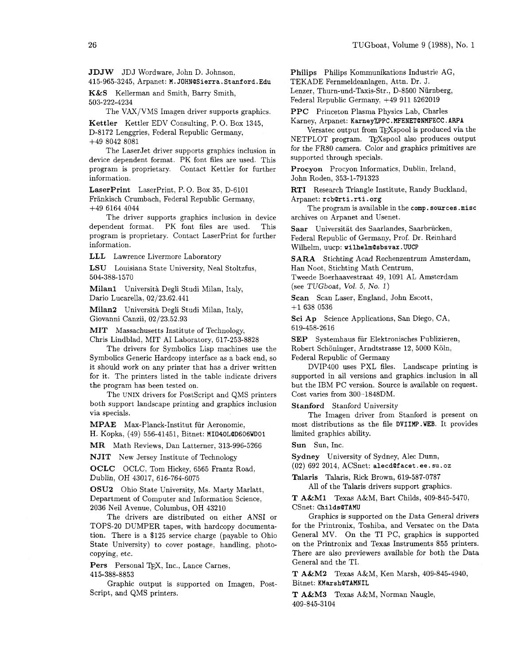**JDJW** JDJ Wordware, John D. Johnson;

415-965-3245, Arpanet: **M. JOHNQSierra. Stanf ord. Edu**  K&S Kellerman and Smith, Barry Smith, 503-222-4234

The VAX/VMS Imagen driver supports graphics.

Kettler Kettler EDV Consulting, P. 0. Box 1345, D-8172 Lenggries, Federal Republic Germany, +49 8042 8081

The LaserJet driver supports graphics inclusion in device dependent format. PK font files are used. This program is proprietary. Contact Kettler for further information.

LaserPrint LaserPrint, P. 0. Box 35, D-6101 Frankisch Crumbach, Federal Republic Germany, +49 6164 4044

The driver supports graphics inclusion in device dependent format. PK font files are used. This program is proprietary. Contact LaserPrint for further information.

LLL Lawrence Livermore Laboratory

LSU Louisiana State University, Neal Stoltzfus, 504-388-1570

Milan1 Università Degli Studi Milan, Italy, Dario Lucarella, 02/23.62.441

Milan2 Universita Degli Studi Milan, Italy, Giovanni Canzii, 02/23.52.93

MIT Massachusetts Institute of Technology,

Chris Lindblad, MIT A1 Laboratory, 617-253-8828 The drivers for Symbolics Lisp machines use the Symbolics Generic Hardcopy interface as a back end, so it should work on any printer that has a driver written for it. The printers listed in the table indicate drivers the program has been tested on.

The UNIX drivers for PostScript and QMS printers both support landscape printing and graphics inclusion via specials.

MPAE Max-Planck-Institut fur Aeronomie,

H. Kopka, (49) 556-41451, Bitnet: **MI040LQD606WD01** 

MR Math Reviews, Dan Latterner, 313-996-5266

NJIT New Jersey Institute of Technology

OCLC OCLC, Tom Hickey, 6565 Frantz Road, Dublin, OH 43017, 616-764-6075

OSU2 Ohio State University, Ms. Marty Marlatt, Department of Computer and Information Science, 2036 Neil Avenue, Columbus, OH 43210

The drivers are distributed on either ANSI or TOPS-20 DUMPER tapes, with hardcopy documentation. There is a \$125 service charge (payable to Ohio State University) to cover postage, handling, photocopying, etc.

Pers Personal TFX, Inc., Lance Carnes,

415-388-8853

Graphic output is supported on Imagen, Post-Script, and QMS printers.

Philips Philips Kommunikations Industrie AG, TEKADE Fernmeldeanlagen, Attn. Dr. J. Lenzer, Thurn-und-Taxis-Str., D-8500 Niirnberg, Federal Republic Germany, +49 911 5262019

PPC Princeton Plasma Physics Lab, Charles

Karney, Arpanet: **KarneyXPPC** . **MFENETQNMFECC** . **ARPA**  Versatec output from TEXspool is produced via the

NETPLOT program. TEXspool also produces output for the FR80 camera. Color and graphics primitives are supported through specials.

Procyon Procyon Informatics, Dublin, Ireland, John Roden, 353-1-791323

RTI Research Triangle Institute, Randy Buckland, Arpanet: **rcbQrti .rti .org** 

The program is available in the **comp. sources .misc**  archives on Arpanet and Usenet.

Saar Universitat des Saarlandes, Saarbriicken, Federal Republic of Germany, Prof. Dr. Reinhard Wilhelm, uucp: **uilhelmQsbsvax** . **WCP** 

SARA Stichting Acad Rechenzentrum Amsterdam, Han Noot, Stichting Math Centrum, Tweede Boerhaavestraat 49, 1091 AL Amsterdam (see TUGboat, Vol. 5, No. 1)

Scan Scan Laser, England, John Escott, +1 638 0536

Sci Ap Science Applications, San Diego, CA, 619-458-2616

SEP Systemhaus für Elektronisches Publizieren, Robert Schoninger, Arndtstrasse 12, 5000 Koln, Federal Republic of Germany

DVIP400 uses PXL files. Landscape printing is supported in all versions and graphics. inclusion in all but the IBM PC version. Source is available on request. Cost varies from 300-1848DM.

Stanford Stanford University

The Imagen driver from Stanford is present on most distributions as the file **DVIIMP** . WEB. It provides limited graphics ability.

Sun Sun, Inc.

Sydney University of Sydney, Alec Dunn,

(02) 692 2014, ACSnet: **alecdQf acet** . **ee** . **su. oz** 

Talaris Talaris, Rick Brown, 619-587-0787 All of the Talaris drivers support graphics.

T A&M1 Texas A&M, Bart Childs, 409-845-5470, CSnet: **ChildsQTAMU** 

Graphics is supported on the Data General drivers for the Printronix, Toshiba, and Versatec on the Data General MV. On the TI PC, graphics is supported on the Printronix and Texas Instruments 855 printers. There are also previewers available for both the Data General and the TI.

T A&M2 Texas A&M, Ken Marsh, 409-845-4940, Bitnet: **KMarshQTAMNIL** 

T A&M3 Texas A&M, Norman Naugle, 409-845-3104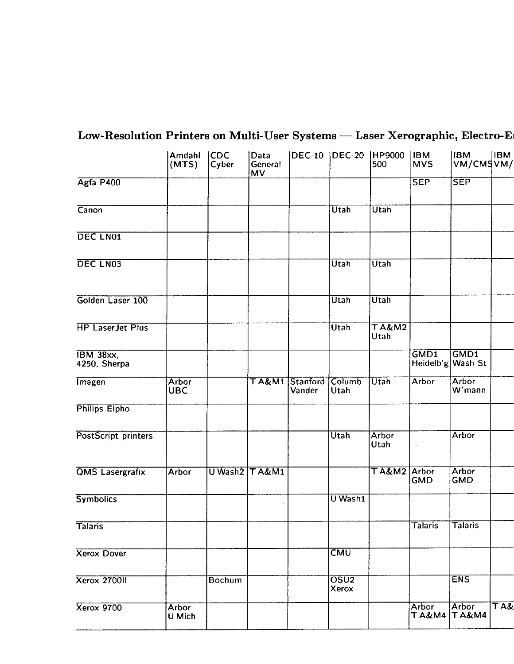| Low-Resolution Printers on Multi-User Systems - Laser Xerographic, Electro-El |                           |        |                       |                             |                           |                         |                            |                                    |     |
|-------------------------------------------------------------------------------|---------------------------|--------|-----------------------|-----------------------------|---------------------------|-------------------------|----------------------------|------------------------------------|-----|
| Agfa P400                                                                     | Amdahi CDC<br>(MTS) Cyber |        | Data<br>General<br>MV |                             |                           | DEC-10 DEC-20 HP9000 BM | SEP                        | <b>IBM</b> IBM<br>VM/CMSVM/<br>SEP |     |
| Canon                                                                         |                           |        |                       |                             | Utah                      | Utah                    |                            |                                    |     |
| DEC LN01                                                                      |                           |        |                       |                             |                           |                         |                            |                                    |     |
| DEC LN03                                                                      |                           |        |                       |                             | Utah                      | $\sqrt{Utah}$           |                            |                                    |     |
| Golden Laser 100                                                              |                           |        |                       |                             | $\overline{\sf{Utah}}$    | Utah                    |                            |                                    |     |
| <b>HP LaserJet Plus</b>                                                       |                           |        |                       |                             | Utah                      | TA&M2                   |                            |                                    |     |
| IBM 38xx,<br>4250, Sherpa                                                     |                           |        |                       |                             |                           |                         |                            | GMD1 GMD1<br>Heidelb'g Wash St     |     |
| <b>Imagen</b>                                                                 | Arbor<br>UBC              |        |                       | TA&M1 Stanford Columb. Utah |                           |                         | Arbor                      | Arbor<br>W'mann                    |     |
| Philips Elpho                                                                 |                           |        |                       |                             |                           |                         |                            |                                    |     |
| PostScript printers                                                           |                           |        |                       |                             | Utah                      | Arbor<br> Utah          |                            | Arbor                              |     |
| QMS Lasergrafix                                                               | Arbor                     |        | U Wash2 T A&M1        |                             |                           | TA&M2 Arbor<br>GMD      |                            | Arbor<br>GMD                       |     |
| <b>Symbolics</b>                                                              |                           |        |                       |                             | U Wash1                   |                         |                            |                                    |     |
| <b>Talaris</b><br>Xerox Dover                                                 |                           |        |                       |                             | $\overline{\text{LMM}}$   |                         | <b>Talaris</b>             | $\sqrt{\mathsf{Talaris}}$          |     |
| <b>Xerox 270011</b>                                                           |                           | Bochum |                       |                             |                           |                         |                            | <b>ENS</b>                         |     |
| Xerox 9700                                                                    |                           |        |                       |                             | OSU <sub>2</sub><br>Xerox |                         |                            |                                    | TA& |
|                                                                               | Arbor<br>U Mich           |        |                       |                             |                           |                         | Arbor Arbor<br>TA&M4 TA&M4 |                                    |     |

# Low-Resolution Printers on Multi-User Systems — Laser Xerographic, Electro-Erosion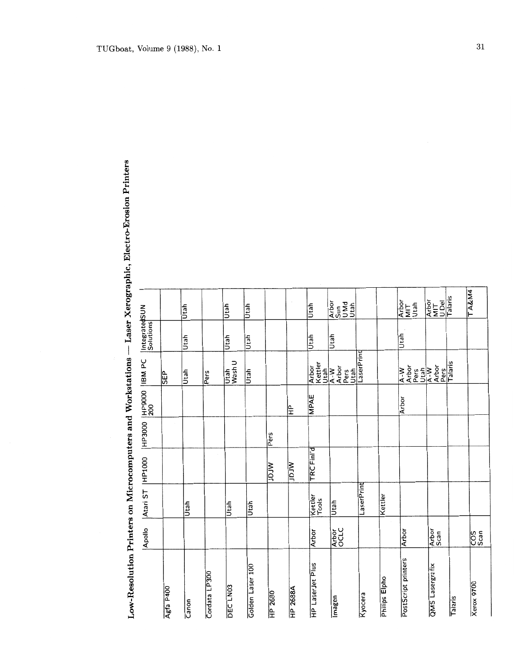| Low-Resolution Printers on Microcomputers and Workstations |                |                  |            |        |        |                                     |                            | raser verngraf               |
|------------------------------------------------------------|----------------|------------------|------------|--------|--------|-------------------------------------|----------------------------|------------------------------|
|                                                            | Apollo         | Atari ST         | HP1000     | HP3000 | HP9000 | <b>Jd MBI</b>                       | IntegratedSUN<br>Solutions |                              |
| Agfa P400                                                  |                |                  |            |        |        | <b>GEP</b>                          |                            |                              |
| Canon                                                      |                | Utah             |            |        |        | Utah                                | Utah                       | Utah                         |
| Cordata LP300                                              |                |                  |            |        |        | Pers                                |                            |                              |
| DEC <sub>LN03</sub>                                        |                | Utah             |            |        |        | Wash U<br>Utah                      | Utah                       | Utah                         |
| Golden Laser 100                                           |                | Utah             |            |        |        | Utah                                | Utah                       | Utah                         |
| HP 2680                                                    |                |                  | Mrar       | Pers   |        |                                     |                            |                              |
| <b>HP 2688A</b>                                            |                |                  | Mrar       |        | 全      |                                     |                            |                              |
| HP LaserJet Plus                                           | Arbor          | Kettler<br>Tools | TRC Finl'd |        | MPAE   | Kettler<br>Arbor<br>Utah            | Utah                       | Utah                         |
| Imagen                                                     | Arbor<br>OCLC  | Utah             |            |        |        | Arbor<br>Pers<br>Utah<br>$A - W$    | Utah                       | Arbor<br>Sun<br>Utah<br>Utah |
| Kyocera                                                    |                | LaserPrint       |            |        |        | LaserPrint                          |                            |                              |
| Philips Elpho                                              |                | Kettler          |            |        |        |                                     |                            |                              |
| PostScript printers                                        | Arbor          |                  |            |        | Arbor  | Arbor<br>Utah<br>$A - W$<br>Pers    | Utah                       | Arbor<br>MIT<br>Utah         |
| QMS Lasergrafix                                            | Arbor<br>Scan  |                  |            |        |        | Arbor<br>Pers<br>Talaris<br>$A - W$ |                            | Arbor<br>MIT<br>U Del        |
| Talaris                                                    |                |                  |            |        |        |                                     |                            | Talaris                      |
| <b>Xerox 9700</b>                                          | ပြို့<br>ပြို့ |                  |            |        |        |                                     |                            | <b>TA&amp;M4</b>             |

Xerographic, Electro-Erosion Printers ï  $\overline{\mathbf{u}}$ j, M. J,  $\overline{1}$